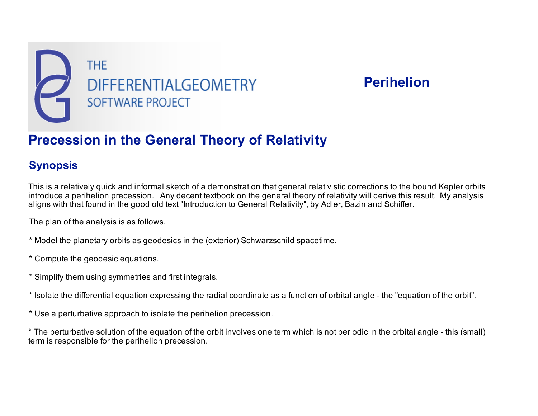

# **Perihelion**

# **Precession in the General Theory of Relativity**

## **Synopsis**

This is a relatively quick and informal sketch of a demonstration that general relativistic corrections to the bound Kepler orbits introduce a perihelion precession. Any decent textbook on the general theory of relativity will derive this result. My analysis aligns with that found in the good old text "Introduction to General Relativity", by Adler, Bazin and Schiffer.

The plan of the analysis is as follows.

- \* Model the planetary orbits as geodesics in the (exterior) Schwarzschild spacetime.
- \* Compute the geodesic equations.
- \* Simplify them using symmetries and first integrals.
- \* Isolate the differential equation expressing the radial coordinate as a function of orbital angle the "equation of the orbit".
- \* Use a perturbative approach to isolate the perihelion precession.
- \* The perturbative solution of the equation of the orbit involves one term which is not periodic in the orbital angle this (small) term is responsible for the perihelion precession.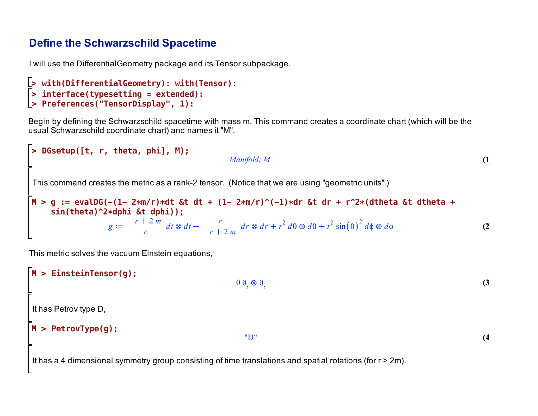## **Define the Schwarzschild Spacetime**

I will use the DifferentialGeometry package and its Tensor subpackage.

```
> 
Preferences("TensorDisplay", 1):
> 
interface(typesetting = extended):
> 
with(DifferentialGeometry): with(Tensor):
```
Begin by defining the Schwarzschild spacetime with mass m. This command creates a coordinate chart (which will be the usual Schwarzschild coordinate chart) and names it "M".

```
(2)
                                                                                                                             (1)
M > 
g := evalDG(-(1- 2*m/r)*dt &t dt + (1- 2*m/r)^(-1)*dr &t dr + r^2*(dtheta &t dtheta + 
> 
DGsetup([t, r, theta, phi], M);
                                                      Manifold: M
This command creates the metric as a rank-2 tensor. (Notice that we are using "geometric units".)
    sin(theta)^2*dphi &t dphi));
                     g
                            r + 2mr
                                     dt dt
                                                    r
                                                 r + 2mdr \otimes dr + r^2 d\theta \otimes d\theta + r^2 \sin(\theta)^2 d\phi \otimes d\theta
```
This metric solves the vacuum Einstein equations,

```
M > 
PetrovType(g);
                                                                                                                                                               (4)
M > 
EinsteinTensor(g);
                                                                                                                                                              (3)
                                                                        0 \frac{\partial}{\partial t} \otimes \frac{\partial}{\partial t}It has Petrov type D,
                                                                           "D"
It has a 4 dimensional symmetry group consisting of time translations and spatial rotations (for r > 2m).
```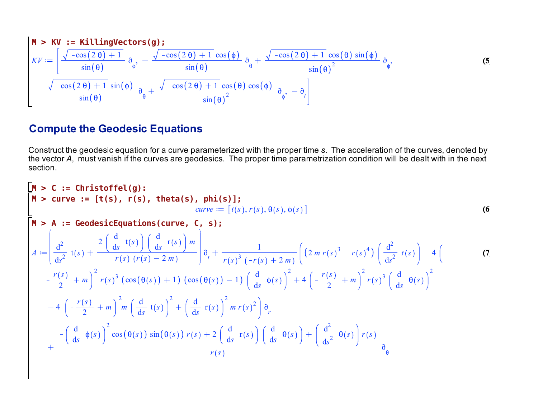$$
\mathbf{M} \geq \mathbf{K} \mathbf{V} := \left[ \frac{\sqrt{-\cos(2\theta) + 1}}{\sin(\theta)} \, \partial_{\phi}, \, -\frac{\sqrt{-\cos(2\theta) + 1} \, \cos(\phi)}{\sin(\theta)} \, \partial_{\phi} + \frac{\sqrt{-\cos(2\theta) + 1} \, \cos(\theta) \, \sin(\phi)}{\sin(\theta)^2} \, \partial_{\phi}, \, \mathbf{S} \right]
$$
\n
$$
\mathbf{V} := \left[ \frac{\sqrt{-\cos(2\theta) + 1}}{\sin(\theta)} \, \partial_{\phi}, \, -\frac{\sqrt{-\cos(2\theta) + 1} \, \cos(\phi)}{\sin(\theta)} \, \partial_{\phi} + \frac{\sqrt{-\cos(2\theta) + 1} \, \cos(\theta) \, \cos(\phi)}{\sin(\theta)^2} \, \partial_{\phi}, \, -\partial_{t} \right]
$$
\n(5)

# **Compute the Geodesic Equations**

Construct the geodesic equation for a curve parameterized with the proper time *s*. The acceleration of the curves, denoted by the vector *A*, must vanish if the curves are geodesics. The proper time parametrization condition will be dealt with in the next section.

$$
\begin{aligned}\n\mathbf{M} &> \mathbf{C} := \text{Christoffel(g)}: \\
\mathbf{M} &> \text{curve} := [\mathbf{t}(\mathbf{s}), \mathbf{r}(\mathbf{s}), \text{ theta}(\mathbf{s}), \text{ phi}(\mathbf{s})]; \\
\mathbf{M} &> \mathbf{A} := \text{GeodesicEquations}(\text{curve, C, S}); \\
A &&= \left[ \frac{d^2}{ds^2} t(s) + \frac{2\left( \frac{d}{ds} t(s) \right) \left( \frac{d}{ds} r(s) \right) m}{r(s) (r(s) - 2m)} \right] \partial_t + \frac{1}{r(s)^3 (-r(s) + 2m)} \left( (2m r(s)^3 - r(s)^4) \left( \frac{d^2}{ds^2} r(s) \right) - 4 \left( \frac{r(s)}{2} + m \right)^2 r(s)^3 (\cos(\theta(s)) + 1) (\cos(\theta(s)) - 1) \left( \frac{d}{ds} \phi(s) \right)^2 + 4 \left( -\frac{r(s)}{2} + m \right)^2 r(s)^3 \left( \frac{d}{ds} \theta(s) \right)^2 \\
&&- 4 \left( -\frac{r(s)}{2} + m \right)^2 m \left( \frac{d}{ds} t(s) \right)^2 + \left( \frac{d}{ds} r(s) \right)^2 m r(s)^2 \right) \partial_r \\
&&+ \frac{-\left( \frac{d}{ds} \phi(s) \right)^2 \cos(\theta(s)) \sin(\theta(s)) r(s) + 2 \left( \frac{d}{ds} r(s) \right) \left( \frac{d}{ds} \theta(s) \right) + \left( \frac{d^2}{ds^2} \theta(s) \right) r(s)}{\partial_{\theta}} \partial_{\theta}\n\end{aligned}
$$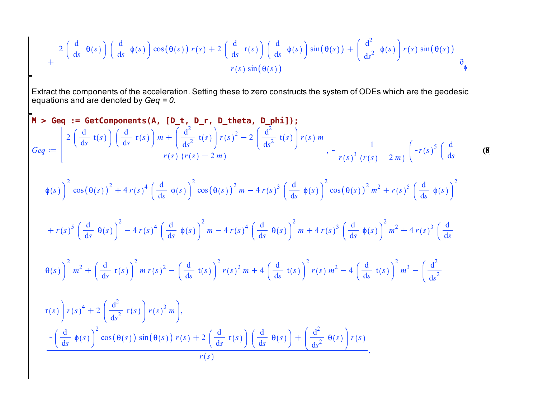$$
+\frac{2\left(\frac{d}{ds}\theta(s)\right)\left(\frac{d}{ds}\phi(s)\right)\cos(\theta(s)) r(s) + 2\left(\frac{d}{ds}r(s)\right)\left(\frac{d}{ds}\phi(s)\right)\sin(\theta(s)) + \left(\frac{d^2}{ds^2}\phi(s)\right)r(s)\sin(\theta(s))}{r(s)\sin(\theta(s))}
$$
\n
$$
=64
$$
\nExtact the components of the acceleration. Setting these to zero constructs the system of ODEs which are the geodesic equations and are denoted by  $\text{Geq} = 0$ .  
\n
$$
\mathbf{h} > \text{Geq} := \frac{\text{detcomponents(A, [D_t, D_r, D_theta, Dphi1])}}{\text{det}(s)}; \int \frac{d}{ds}r(s) \left(\frac{d}{ds}r(s)\right) m + \left(\frac{d^2}{ds^2}r(s)\right)r(s)^2 - 2\left(\frac{d^2}{ds^2}r(s)\right)r(s)m}{r(s)^3(r(s)-2m)}, -\frac{1}{r(s)^3(r(s)-2m)}\left(-r(s)^5\left(\frac{d}{ds}-\frac{d}{ds}\phi(s)\right)^2\cos(\theta(s))^2 + r(s)^4\left(\frac{d}{ds}\phi(s)\right)^2\cos(\theta(s))^2m - 4r(s)^3\left(\frac{d}{ds}\phi(s)\right)^2\cos(\theta(s))^2m^2 + r(s)^5\left(\frac{d}{ds}\phi(s)\right)^2
$$
\n
$$
+r(s)^5\left(\frac{d}{ds}\theta(s)\right)^2 - 4r(s)^4\left(\frac{d}{ds}\phi(s)\right)^2m - 4r(s)^4\left(\frac{d}{ds}\theta(s)\right)^2m + 4r(s)^3\left(\frac{d}{ds}\phi(s)\right)^2m^2 + 4r(s)^3\left(\frac{d}{ds}\phi(s)\right)^2m^2 + 4r(s)^3\left(\frac{d}{ds}\phi(s)\right)^2m^2 + \left(\frac{d}{ds}r(s)\right)^2m r(s)^2 - \left(\frac{d}{ds}r(s)\right)^2r(s)^2m + 4\left(\frac{d}{ds}r(s)\right)^2r(s)m^2 - 4\left(\frac{d}{ds}r(s)\right)^2m^3 - \left(\frac{d^2}{ds^2}r(s)\right)r(s)^4 + 2\left(\frac{d^2}{ds^2}r(s)\right)r(s)^3m\right), - \left(\frac{d}{ds}\phi(s)\right)^2\cos(\theta(s))\sin(\theta(s))r(s
$$

 $\frac{1}{r(s)}$ ,  $\frac{1}{r(s)}$ ,  $\frac{1}{r(s)}$ ,  $\frac{1}{r(s)}$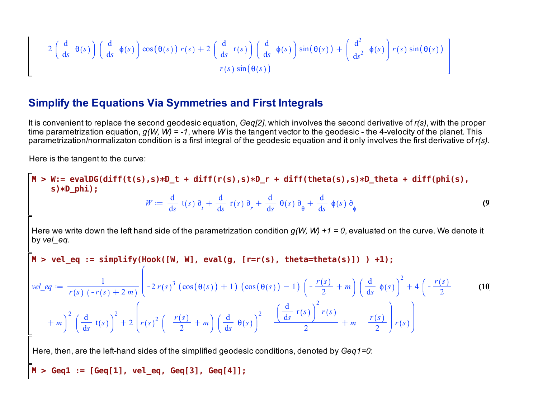$$
\frac{2\left(\frac{d}{ds}\theta(s)\right)\left(\frac{d}{ds}\phi(s)\right)\cos(\theta(s))\ r(s) + 2\left(\frac{d}{ds}\ r(s)\right)\left(\frac{d}{ds}\ \phi(s)\right)\sin(\theta(s)) + \left(\frac{d^2}{ds^2}\ \phi(s)\right)\ r(s)\sin(\theta(s))}{r(s)\sin(\theta(s))}
$$

### **Simplify the Equations Via Symmetries and First Integrals**

It is convenient to replace the second geodesic equation, *Geq[2]*, which involves the second derivative of *r(s)*, with the proper time parametrization equation, *g(W, W) = -1*, where *W* is the tangent vector to the geodesic - the 4-velocity of the planet. This parametrization/normalizaton condition is a first integral of the geodesic equation and it only involves the first derivative of *r(s)*.

Here is the tangent to the curve:

**M > W:= evalDG(diff(t(s),s)\*D\_t + diff(r(s),s)\*D\_r + diff(theta(s),s)\*D\_theta + diff(phi(s), (10) M > Geq1 := [Geq[1], vel\_eq, Geq[3], Geq[4]];M > vel\_eq := simplify(Hook([W, W], eval(g, [r=r(s), theta=theta(s)]) ) +1); (9) s)\*D\_phi);**  $W \coloneqq \frac{d}{1}$ d*s*  $t(s)$   $\partial_{t}$ d  $\frac{d}{ds}$  **r**(s)  $\partial$ <sub>r</sub> d d*s s* d d*s s* Here we write down the left hand side of the parametrization condition *g(W, W) +1 = 0*, evaluated on the curve. We denote it by *vel\_eq. vel eq*  $:=$   $\frac{1}{\sqrt{1-\frac{1}{x}} \sqrt{1-\frac{1}{x}}}$  $r(s)$   $(-r(s) + 2m$  $2 r(s)^3 (\cos(\theta(s)) + 1) (\cos(\theta(s)) - 1)$   $\left(-\frac{r(s)}{2}\right)$  $\frac{1}{2} + m$ d d*s s*  $\frac{2}{r}$  + 4  $\left(-\frac{r(s)}{2}\right)$ 2 *m*  $2/d$ d*s* t *s* 2  $2 \left[ r(s)^2 \left( -\frac{r(s)}{2} \right) \right]$  $\frac{1}{2} + m$ d d*s s* 2 d d*s* r *s* 2 *r s*  $\frac{2}{2}$  + m *r s*  $\left(\frac{3}{2}\right)^{r}$   $r(s)$ Here, then, are the left-hand sides of the simplified geodesic conditions, denoted by *Geq1=0*: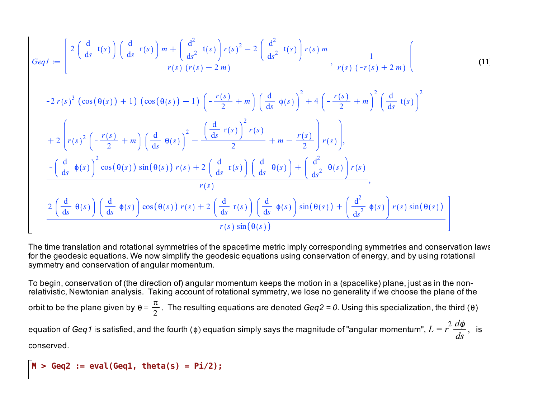$$
GeqI := \left[ \frac{2\left(\frac{d}{ds} t(s)\right)\left(\frac{d}{ds} r(s)\right)m + \left(\frac{d^2}{ds^2} t(s)\right)r(s)^2 - 2\left(\frac{d^2}{ds^2} t(s)\right)r(s)m}{r(s) (r(s) - 2m)}, \frac{1}{r(s) (-r(s) + 2m)} \right]
$$
\n
$$
-2 r(s)^3 \left(\cos(\theta(s)) + 1\right) \left(\cos(\theta(s)) - 1\right) \left(-\frac{r(s)}{2} + m\right) \left(\frac{d}{ds} \phi(s)\right)^2 + 4\left(-\frac{r(s)}{2} + m\right)^2 \left(\frac{d}{ds} t(s)\right)^2
$$
\n
$$
+ 2\left(r(s)^2 \left(-\frac{r(s)}{2} + m\right) \left(\frac{d}{ds} \theta(s)\right)^2 - \frac{\left(\frac{d}{ds} r(s)\right)^2 r(s)}{2} + m - \frac{r(s)}{2}\right)r(s)\right),
$$
\n
$$
- \left(\frac{d}{ds} \phi(s)\right)^2 \cos(\theta(s)) \sin(\theta(s)) r(s) + 2\left(\frac{d}{ds} r(s)\right) \left(\frac{d}{ds} \theta(s)\right) + \left(\frac{d^2}{ds^2} \theta(s)\right)r(s)
$$
\n
$$
r(s)
$$
\n
$$
2\left(\frac{d}{ds} \theta(s)\right) \left(\frac{d}{ds} \phi(s)\right) \cos(\theta(s)) r(s) + 2\left(\frac{d}{ds} r(s)\right) \left(\frac{d}{ds} \phi(s)\right) \sin(\theta(s)) + \left(\frac{d^2}{ds^2} \phi(s)\right)r(s) \sin(\theta(s))
$$
\n
$$
r(s) \sin(\theta(s))
$$

The time translation and rotational symmetries of the spacetime metric imply corresponding symmetries and conservation laws for the geodesic equations. We now simplify the geodesic equations using conservation of energy, and by using rotational symmetry and conservation of angular momentum.

To begin, conservation of (the direction of) angular momentum keeps the motion in a (spacelike) plane, just as in the nonrelativistic, Newtonian analysis. Taking account of rotational symmetry, we lose no generality if we choose the plane of the orbit to be the plane given by  $\theta = \frac{\pi}{2}$ . The resulting equations are denoted *Geq2* = 0. Using this specialization, the third ( $\theta$ ) equation of *Geq1* is satisfied, and the fourth ( $\phi$ ) equation simply says the magnitude of "angular momentum",  $L$  =  $r$ 2 *d*  $\frac{d\mathbf{x} \cdot \mathbf{y}}{ds}$ , is conserved.

**M > Geq2 := eval(Geq1, theta(s) = Pi/2);**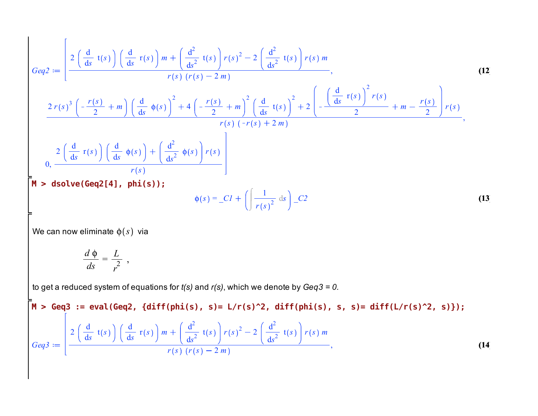$$
Geq2 := \left[\frac{2\left(\frac{d}{ds}t(s)\right)\left(\frac{d}{ds}r(s)\right)m + \left(\frac{d^2}{ds^2}t(s)\right)r(s)^2 - 2\left(\frac{d^2}{ds^2}t(s)\right)r(s)m}{r(s)(r(s) - 2m)},\right]
$$
\n
$$
\frac{2r(s)^3\left(-\frac{r(s)}{2} + m\right)\left(\frac{d}{ds}\phi(s)\right)^2 + 4\left(-\frac{r(s)}{2} + m\right)^2\left(\frac{d}{ds}t(s)\right)^2 + 2\left(-\frac{\left(\frac{d}{ds}r(s)\right)^2r(s)}{2} + m - \frac{r(s)}{2}\right)r(s)}{r(s)(-r(s) + 2m)},\right]
$$
\n
$$
0, \frac{2\left(\frac{d}{ds}r(s)\right)\left(\frac{d}{ds}\phi(s)\right) + \left(\frac{d^2}{ds^2}\phi(s)\right)r(s)}{r(s)}
$$
\n
$$
\phi(s) = CI + \left(\frac{1}{r(s)^2}ds\right) - C2
$$
\n(13)

We can now eliminate  $\phi(s)$  via

$$
\frac{d\phi}{ds} = \frac{L}{r^2} ,
$$

to get a reduced system of equations for *t(s)* and *r(s)*, which we denote by *Geq3 = 0.* 

$$
\mathbf{M} > \text{Geq3} := \text{eval}(\text{Geq2, } \{\text{diff}(\text{phi}(s), s) = \text{L/r(s)}^2, \text{diff}(\text{phi}(s), s, s) = \text{diff}(\text{L/r(s)}^2, s)\});
$$
\n
$$
\text{Geq3} := \begin{bmatrix} 2\left(\frac{d}{ds}t(s)\right)\left(\frac{d}{ds}r(s)\right)m + \left(\frac{d^2}{ds^2}t(s)\right)r(s)^2 - 2\left(\frac{d^2}{ds^2}t(s)\right)r(s)m\\ r(s)(r(s) - 2m) \end{bmatrix},
$$
\n(14)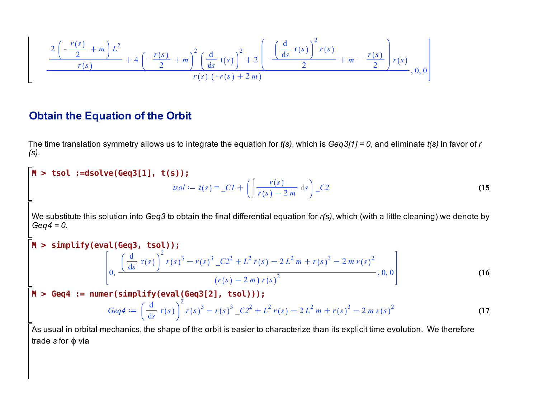$$
\frac{2\left(-\frac{r(s)}{2}+m\right)L^2}{r(s)}+4\left(-\frac{r(s)}{2}+m\right)^2\left(\frac{d}{ds}t(s)\right)^2+2\left(-\frac{\left(\frac{d}{ds}r(s)\right)^2r(s)}{2}+m-\frac{r(s)}{2}\right)r(s)\\r(s)\left(-r(s)+2m\right)},0,0
$$

## **Obtain the Equation of the Orbit**

The time translation symmetry allows us to integrate the equation for *t(s)*, which is *Geq3[1] = 0*, and eliminate *t(s)* in favor of *r (s)*.

$$
\begin{aligned}\n\mathbf{M} > \text{tsol} := \text{dsolve}(\text{Geq3}[1], \text{ t(s)}); \\
\text{sol} := t(s) = \_C I + \left( \int \frac{r(s)}{r(s) - 2m} \, \text{ds} \right) \_C 2\n\end{aligned}
$$
\n(15\nWe substitute this solution into Geq3 to obtain the final differential equation for  $r(s)$ , which (with a little cleaning) we denote by  
\n
$$
\begin{aligned}\n\mathbf{M} > \text{simply}(\text{eval}(\text{Geq3}, \text{tsol})); \\
\mathbf{M} > \text{simply}(\text{eval}(\text{Geq3}, \text{tsol})); \\
\mathbf{M} > \text{Geq4} := \text{numer}(\text{simply}(\text{eval}(\text{Geq3}[2], \text{tsol}))).\n\end{aligned}
$$
\n(16\n
$$
\begin{aligned}\n(r(s) - 2m) r(s)^2 \\
(r(s) - 2m) r(s)^2\n\end{aligned}
$$
\n(17\nAs usual in orbital mechanics, the shape of the orbit is easier to characterize than its explicit time evolution. We therefore  
\ntrade s for  $\phi$  via\n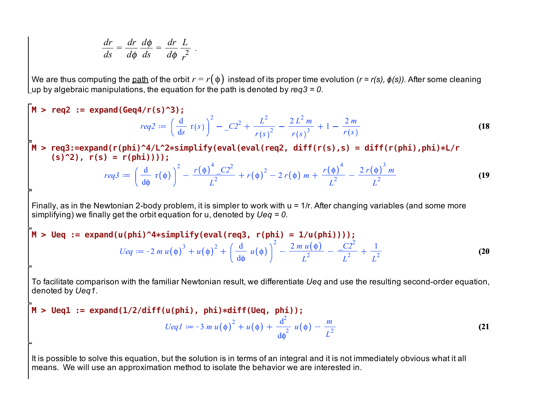$$
\frac{dr}{ds} = \frac{dr}{d\phi} \frac{d\phi}{ds} = \frac{dr}{d\phi} \frac{L}{r^2}.
$$

We are thus computing the <u>path</u> of the orbit  $r=r(\,\phi\,)$  instead of its proper time evolution (*r = r(s),*  $\phi(s)$ *).* After some cleaning up by algebraic manipulations, the equation for the path is denoted by *req3 = 0*.

$$
\begin{aligned}\n\mathbf{M} > \text{req2} := \text{expand}(\text{Geq4}/r(\text{s})^2) ; \\
& \text{req2} := \left(\frac{d}{d s} r(s)\right)^2 - \frac{C2^2}{r(s)^2} - \frac{2L^2 m}{r(s)^3} + 1 - \frac{2m}{r(s)}\n\end{aligned}
$$
\n
$$
\begin{aligned}\n\mathbf{M} > \text{req3} := \text{expand}(r(\text{phi})^2/4L^2 * \text{simplity}(\text{eval}(\text{eval}(\text{req2, diff}(r(\text{s}), \text{s})) = \text{diff}(r(\text{phi}), \text{phi}) * L/r \\
& (\text{s})^2/2, \text{ r(s)} = r(\text{phi}))); \\
& \text{req3} := \left(\frac{d}{d\phi} r(\phi)\right)^2 - \frac{r(\phi)^4 - C2^2}{L^2} + r(\phi)^2 - 2r(\phi) m + \frac{r(\phi)^4}{L^2} - \frac{2r(\phi)^3 m}{L^2}\n\end{aligned}
$$
\n
$$
\begin{aligned}\n\text{Finally, as in the Newtonian 2-body problem, it is simpler to work with } u = 1/r. \text{ After changing variables (and some more simplifying) we finally get the orbit equation for u, denoted by  $Ueq = 0$ .\n\end{aligned}
$$
\n
$$
\begin{aligned}\n\mathbf{M} > \text{Ueq} := \text{expand}(u(\text{phi})^2 + 4 \text{simplity}(\text{eval}(\text{req3, r(\text{phi})) = 1/u(\text{phi})))\n\end{aligned}
$$
\n
$$
Ueq := -2 m u(\phi)^3 + u(\phi)^2 + \left(\frac{d}{d\phi} u(\phi)\right)^2 - \frac{2 m u(\phi)}{L^2} - \frac{C2^2}{L^2} + \frac{1}{L^2}\n\end{aligned}
$$
\n
$$
\begin{aligned}\n\text{Consider the condition: } \mathbf{M} > \text{Ueq}(\text{real}) \\
\text{Total value: } \mathbf{M} > \text{Ueq}(\text{real}) \\
\text{Total value: } \mathbf{M} > \text{Ueq}(\text{real})\n\end{aligned}
$$
\n
$$
\begin{aligned}\n\text{Total value: } \mathbf{M} > \text{V} > \text{V} > \text{V
$$

M > Ueq1 := expand(1/2/diff(u(phi), phi)\*diff(Ueq, phi));  
\n
$$
UeqI := -3 \, m \, u(\phi)^2 + u(\phi) + \frac{d^2}{d\phi^2} \, u(\phi) - \frac{m}{L^2}
$$
\n(21)

It is possible to solve this equation, but the solution is in terms of an integral and it is not immediately obvious what it all means. We will use an approximation method to isolate the behavior we are interested in.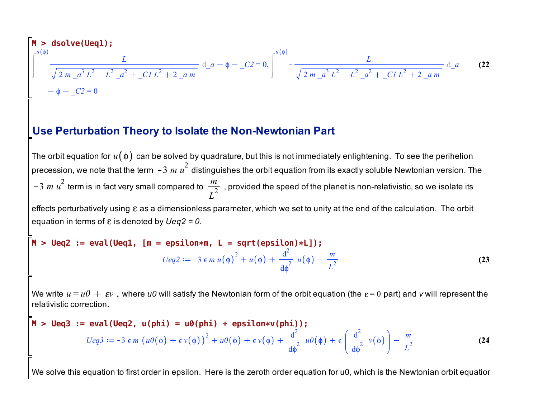$$
\mathbf{M} > \text{dsolve}(\text{Ueq1});
$$
\n
$$
\int_{0}^{u(\phi)} \frac{L}{\sqrt{2m_{\phi}a^{3}L^{2}-L^{2}_{\phi}a^{2}+C/L^{2}+2_{\phi}a^{2}m}} d_{\phi}a - \phi - C2 = 0, \int_{0}^{u(\phi)} -\frac{L}{\sqrt{2m_{\phi}a^{3}L^{2}-L^{2}_{\phi}a^{2}+C/L^{2}+2_{\phi}a^{2}m}} d_{\phi}a
$$
\n
$$
-\phi - C2 = 0
$$
\n
$$
\mathbf{A} = \mathbf{A} \mathbf{A} \mathbf{B} \mathbf{C}
$$

### **Use Perturbation Theory to Isolate the Non-Newtonian Part**

The orbit equation for  $u(\phi)$  can be solved by quadrature, but this is not immediately enlightening. To see the perihelion precession, we note that the term *−3 m u<sup>2</sup>* distinguishes the orbit equation from its exactly soluble Newtonian version. The 3  $m u^2$  term is in fact very small compared to  $\frac{m}{2}$  $\frac{m}{L^2}$  , provided the speed of the planet is non-relativistic, so we isolate its effects perturbatively using  $\varepsilon$  as a dimensionless parameter, which we set to unity at the end of the calculation. The orbit equation in terms of  $\varepsilon$  is denoted by  $Ueq2 = 0$ .

$$
M > Ueq2 := eval(Ueq1, [m = epsilon*m, L = sqrt(epsilon)*L]);
$$
  

$$
Ueq2 := -3 \epsilon m u(\phi)^{2} + u(\phi) + \frac{d^{2}}{d\phi} u(\phi) - \frac{m}{L^{2}}
$$
(23)

We write  $u = u_0 + \varepsilon v$ , where *u0* will satisfy the Newtonian form of the orbit equation (the  $\varepsilon = 0$  part) and *v* will represent the relativistic correction.

$$
\mathbf{M} > \text{Ueq3} := \text{eval}(\text{Ueq2, u(phi)} = \text{u0(phi)} + \text{epsilon*}v(\text{phi})) ;
$$
\n
$$
Ueq3 := -3 \epsilon m \left( u\theta(\phi) + \epsilon v(\phi) \right)^2 + u\theta(\phi) + \epsilon v(\phi) + \frac{d^2}{d\phi^2} u\theta(\phi) + \epsilon \left( \frac{d^2}{d\phi^2} v(\phi) \right) - \frac{m}{L^2}
$$
\n(24)

We solve this equation to first order in epsilon. Here is the zeroth order equation for u0, which is the Newtonian orbit equation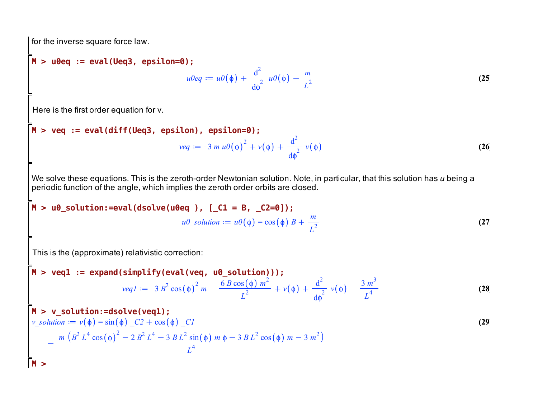for the inverse square force law.

M > u0eq := eval(Ueq3, epsilon=0);  
\n
$$
u0eq := u0(\phi) + \frac{d^2}{d\phi^2} u0(\phi) - \frac{m}{L^2}
$$
\n(25)

Here is the first order equation for v.

$$
M > \text{veq} := \text{eval(diff(Ueq3, epsilon), epsilon=0)};
$$
\n
$$
veq := -3 \, m \, u0(\phi)^2 + v(\phi) + \frac{d^2}{d\phi^2} \, v(\phi)
$$
\n(26)

We solve these equations. This is the zeroth-order Newtonian solution. Note, in particular, that this solution has *u* being a periodic function of the angle, which implies the zeroth order orbits are closed.

$$
M > u0\_solution := eval(dsolve(u0eq)), [C1 = B, C2=0]);
$$

$$
u0\_solution := u0(\phi) = cos(\phi) B + \frac{m}{L^2}
$$

This is the (approximate) relativistic correction:

M > **veq1** := **expand(simplify(eval(veq, u0\_solution)))**;  
\n
$$
veqI := -3 B^2 \cos(\phi)^2 m - \frac{6 B \cos(\phi) m^2}{L^2} + v(\phi) + \frac{d^2}{d\phi^2} v(\phi) - \frac{3 m^3}{L^4}
$$
\n(28)

**(27)**

$$
\mathbf{M} > \mathbf{v\_solution} := \text{dsolve}(\text{veq1}) ;
$$
\n
$$
v\_solution := v(\phi) = \sin(\phi) \cdot C2 + \cos(\phi) \cdot C1
$$
\n
$$
- \frac{m (B^2 L^4 \cos(\phi)^2 - 2B^2 L^4 - 3BL^2 \sin(\phi) m\phi - 3BL^2 \cos(\phi) m - 3m^2)}{L^4}
$$
\n(29)